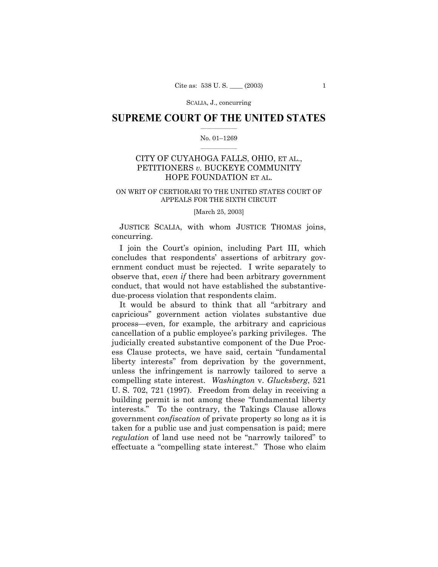SCALIA, J., concurring

### **SUPREME COURT OF THE UNITED STATES**  $\mathcal{L}=\mathcal{L}^{\mathcal{L}}$

#### No. 01-1269  $\mathcal{L}=\mathcal{L}^{\mathcal{L}}$

# CITY OF CUYAHOGA FALLS, OHIO, ET AL., PETITIONERS *v.* BUCKEYE COMMUNITY HOPE FOUNDATION ET AL.

## ON WRIT OF CERTIORARI TO THE UNITED STATES COURT OF APPEALS FOR THE SIXTH CIRCUIT

#### [March 25, 2003]

JUSTICE SCALIA, with whom JUSTICE THOMAS joins, concurring.

I join the Court's opinion, including Part III, which concludes that respondents' assertions of arbitrary government conduct must be rejected. I write separately to observe that, *even if* there had been arbitrary government conduct, that would not have established the substantivedue-process violation that respondents claim.

It would be absurd to think that all "arbitrary and capriciousî government action violates substantive due process—even, for example, the arbitrary and capricious cancellation of a public employeeís parking privileges. The judicially created substantive component of the Due Process Clause protects, we have said, certain "fundamental" liberty interests" from deprivation by the government, unless the infringement is narrowly tailored to serve a compelling state interest. *Washington* v. *Glucksberg*, 521 U. S. 702, 721 (1997). Freedom from delay in receiving a building permit is not among these "fundamental liberty interests." To the contrary, the Takings Clause allows government *confiscation* of private property so long as it is taken for a public use and just compensation is paid; mere *regulation* of land use need not be "narrowly tailored" to effectuate a "compelling state interest." Those who claim